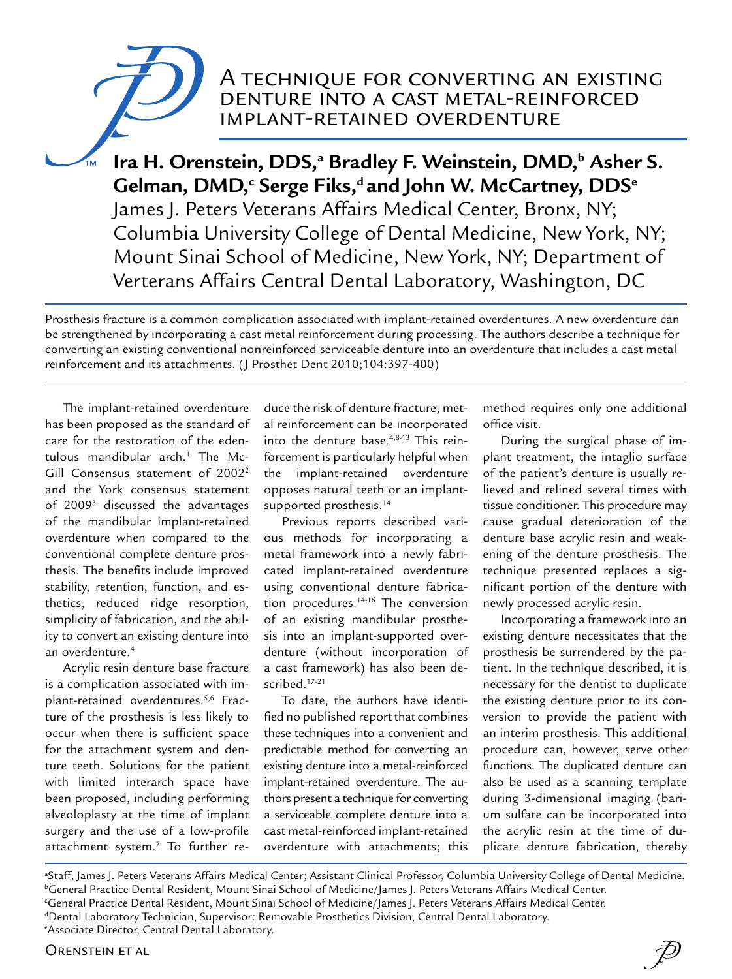## A technique for converting an existing denture into a cast metal-reinforced implant-retained overdenture

Ira H. Orenstein, DDS,ª Bradley F. Weinstein, DMD,<sup>b</sup> Asher S.  ${\mathsf{G}}$ elman, DMD, $^{\mathsf{c}}$  Serge Fiks, $^{\mathsf{d}}$  and John W. McCartney, DDS $^{\mathsf{e}}$ James J. Peters Veterans Affairs Medical Center, Bronx, NY; Columbia University College of Dental Medicine, New York, NY; Mount Sinai School of Medicine, New York, NY; Department of Verterans Affairs Central Dental Laboratory, Washington, DC

Prosthesis fracture is a common complication associated with implant-retained overdentures. A new overdenture can be strengthened by incorporating a cast metal reinforcement during processing. The authors describe a technique for converting an existing conventional nonreinforced serviceable denture into an overdenture that includes a cast metal reinforcement and its attachments. (J Prosthet Dent 2010;104:397-400)

The implant-retained overdenture has been proposed as the standard of care for the restoration of the edentulous mandibular arch.1 The Mc-Gill Consensus statement of 2002<sup>2</sup> and the York consensus statement of 20093 discussed the advantages of the mandibular implant-retained overdenture when compared to the conventional complete denture prosthesis. The benefits include improved stability, retention, function, and esthetics, reduced ridge resorption, simplicity of fabrication, and the ability to convert an existing denture into an overdenture.4

Acrylic resin denture base fracture is a complication associated with implant-retained overdentures.<sup>5,6</sup> Fracture of the prosthesis is less likely to occur when there is sufficient space for the attachment system and denture teeth. Solutions for the patient with limited interarch space have been proposed, including performing alveoloplasty at the time of implant surgery and the use of a low-profile attachment system.7 To further reduce the risk of denture fracture, metal reinforcement can be incorporated into the denture base.4,8-13 This reinforcement is particularly helpful when the implant-retained overdenture opposes natural teeth or an implantsupported prosthesis.<sup>14</sup>

Previous reports described various methods for incorporating a metal framework into a newly fabricated implant-retained overdenture using conventional denture fabrication procedures.14-16 The conversion of an existing mandibular prosthesis into an implant-supported overdenture (without incorporation of a cast framework) has also been described.17-21

To date, the authors have identified no published report that combines these techniques into a convenient and predictable method for converting an existing denture into a metal-reinforced implant-retained overdenture. The authors present a technique for converting a serviceable complete denture into a cast metal-reinforced implant-retained overdenture with attachments; this method requires only one additional office visit.

During the surgical phase of implant treatment, the intaglio surface of the patient's denture is usually relieved and relined several times with tissue conditioner. This procedure may cause gradual deterioration of the denture base acrylic resin and weakening of the denture prosthesis. The technique presented replaces a significant portion of the denture with newly processed acrylic resin.

Incorporating a framework into an existing denture necessitates that the prosthesis be surrendered by the patient. In the technique described, it is necessary for the dentist to duplicate the existing denture prior to its conversion to provide the patient with an interim prosthesis. This additional procedure can, however, serve other functions. The duplicated denture can also be used as a scanning template during 3-dimensional imaging (barium sulfate can be incorporated into the acrylic resin at the time of duplicate denture fabrication, thereby

a Staff, James J. Peters Veterans Affairs Medical Center; Assistant Clinical Professor, Columbia University College of Dental Medicine. **bGeneral Practice Dental Resident, Mount Sinai School of Medicine/James J. Peters Veterans Affairs Medical Center.** c General Practice Dental Resident, Mount Sinai School of Medicine/James J. Peters Veterans Affairs Medical Center. dDental Laboratory Technician, Supervisor: Removable Prosthetics Division, Central Dental Laboratory. e Associate Director, Central Dental Laboratory.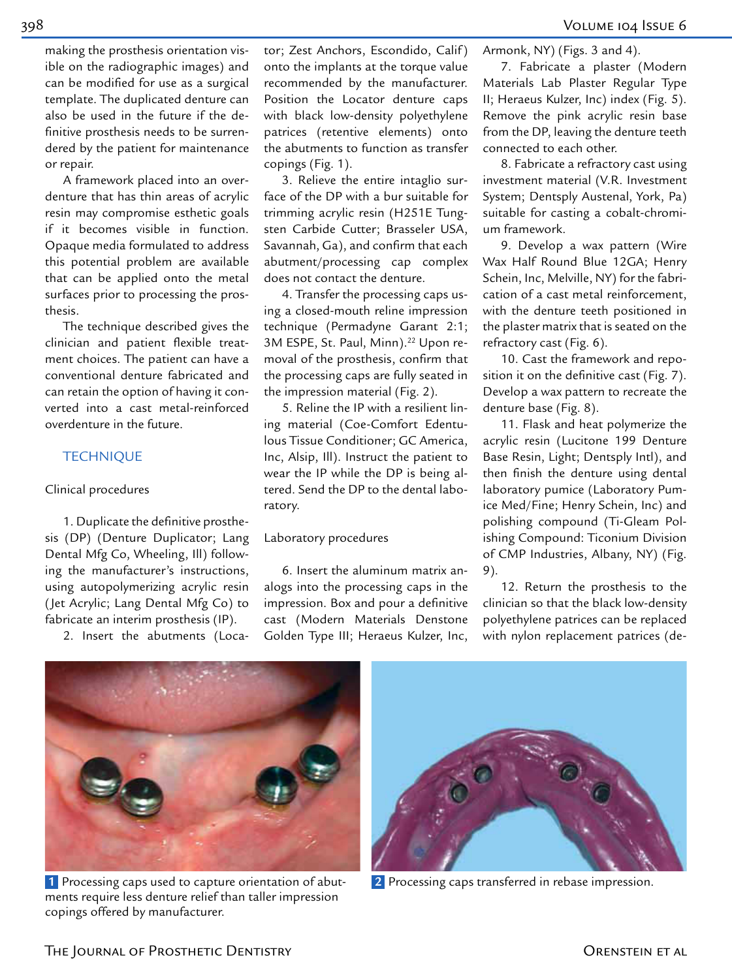making the prosthesis orientation visible on the radiographic images) and can be modified for use as a surgical template. The duplicated denture can also be used in the future if the definitive prosthesis needs to be surrendered by the patient for maintenance or repair.

A framework placed into an overdenture that has thin areas of acrylic resin may compromise esthetic goals if it becomes visible in function. Opaque media formulated to address this potential problem are available that can be applied onto the metal surfaces prior to processing the prosthesis.

The technique described gives the clinician and patient flexible treatment choices. The patient can have a conventional denture fabricated and can retain the option of having it converted into a cast metal-reinforced overdenture in the future.

#### **TECHNIQUE**

#### Clinical procedures

1. Duplicate the definitive prosthesis (DP) (Denture Duplicator; Lang Dental Mfg Co, Wheeling, Ill) following the manufacturer's instructions, using autopolymerizing acrylic resin (Jet Acrylic; Lang Dental Mfg Co) to fabricate an interim prosthesis (IP).

2. Insert the abutments (Loca-

tor; Zest Anchors, Escondido, Calif ) onto the implants at the torque value recommended by the manufacturer. Position the Locator denture caps with black low-density polyethylene patrices (retentive elements) onto the abutments to function as transfer copings (Fig. 1).

3. Relieve the entire intaglio surface of the DP with a bur suitable for trimming acrylic resin (H251E Tungsten Carbide Cutter; Brasseler USA, Savannah, Ga), and confirm that each abutment/processing cap complex does not contact the denture.

4. Transfer the processing caps using a closed-mouth reline impression technique (Permadyne Garant 2:1; 3M ESPE, St. Paul, Minn).<sup>22</sup> Upon removal of the prosthesis, confirm that the processing caps are fully seated in the impression material (Fig. 2).

5. Reline the IP with a resilient lining material (Coe-Comfort Edentulous Tissue Conditioner; GC America, Inc, Alsip, Ill). Instruct the patient to wear the IP while the DP is being altered. Send the DP to the dental laboratory.

#### Laboratory procedures

6. Insert the aluminum matrix analogs into the processing caps in the impression. Box and pour a definitive cast (Modern Materials Denstone Golden Type III; Heraeus Kulzer, Inc,

Armonk, NY) (Figs. 3 and 4).

7. Fabricate a plaster (Modern Materials Lab Plaster Regular Type II; Heraeus Kulzer, Inc) index (Fig. 5). Remove the pink acrylic resin base from the DP, leaving the denture teeth connected to each other.

8. Fabricate a refractory cast using investment material (V.R. Investment System; Dentsply Austenal, York, Pa) suitable for casting a cobalt-chromium framework.

9. Develop a wax pattern (Wire Wax Half Round Blue 12GA; Henry Schein, Inc, Melville, NY) for the fabrication of a cast metal reinforcement, with the denture teeth positioned in the plaster matrix that is seated on the refractory cast (Fig. 6).

10. Cast the framework and reposition it on the definitive cast (Fig. 7). Develop a wax pattern to recreate the denture base (Fig. 8).

11. Flask and heat polymerize the acrylic resin (Lucitone 199 Denture Base Resin, Light; Dentsply Intl), and then finish the denture using dental laboratory pumice (Laboratory Pumice Med/Fine; Henry Schein, Inc) and polishing compound (Ti-Gleam Polishing Compound: Ticonium Division of CMP Industries, Albany, NY) (Fig. 9).

12. Return the prosthesis to the clinician so that the black low-density polyethylene patrices can be replaced with nylon replacement patrices (de-



 **1** Processing caps used to capture orientation of abutments require less denture relief than taller impression copings offered by manufacturer.



**2** Processing caps transferred in rebase impression.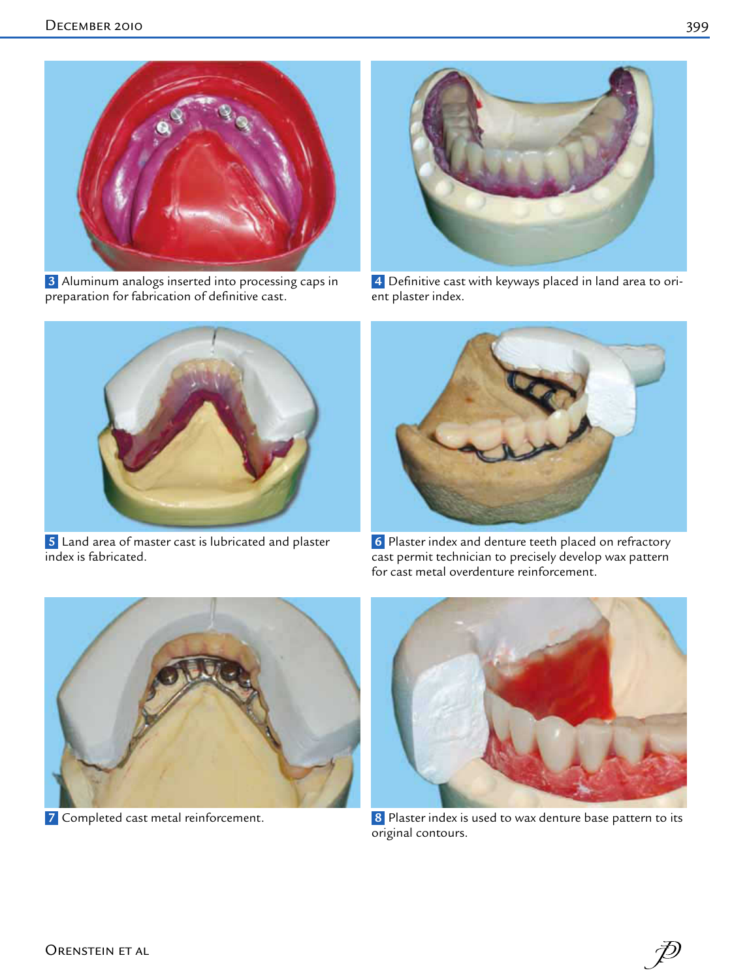

 **3** Aluminum analogs inserted into processing caps in preparation for fabrication of definitive cast.



 **4** Definitive cast with keyways placed in land area to orient plaster index.



 **5** Land area of master cast is lubricated and plaster index is fabricated.



 **6** Plaster index and denture teeth placed on refractory cast permit technician to precisely develop wax pattern for cast metal overdenture reinforcement.



**7** Completed cast metal reinforcement.



 **8** Plaster index is used to wax denture base pattern to its original contours.